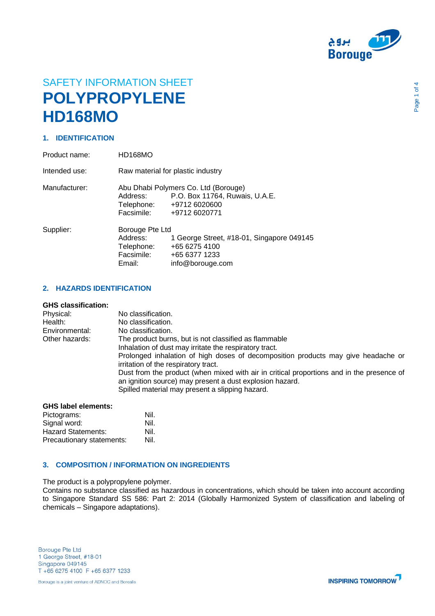

# SAFETY INFORMATION SHEET **POLYPROPYLENE HD168MO**

## **1. IDENTIFICATION**

| Product name: | HD168MO                                                           |                                                                                                                     |
|---------------|-------------------------------------------------------------------|---------------------------------------------------------------------------------------------------------------------|
| Intended use: | Raw material for plastic industry                                 |                                                                                                                     |
| Manufacturer: | Address:<br>Facsimile:                                            | Abu Dhabi Polymers Co. Ltd (Borouge)<br>P.O. Box 11764, Ruwais, U.A.E.<br>Telephone: +9712 6020600<br>+9712 6020771 |
| Supplier:     | Borouge Pte Ltd<br>Address:<br>Telephone:<br>Facsimile:<br>Email: | 1 George Street, #18-01, Singapore 049145<br>+65 6275 4100<br>+65 6377 1233<br>info@borouge.com                     |

#### **2. HAZARDS IDENTIFICATION**

#### **GHS classification:**

| Physical:      | No classification.                                                                                                                                                                                       |
|----------------|----------------------------------------------------------------------------------------------------------------------------------------------------------------------------------------------------------|
| Health:        | No classification.                                                                                                                                                                                       |
| Environmental: | No classification.                                                                                                                                                                                       |
| Other hazards: | The product burns, but is not classified as flammable                                                                                                                                                    |
|                | Inhalation of dust may irritate the respiratory tract.                                                                                                                                                   |
|                | Prolonged inhalation of high doses of decomposition products may give headache or<br>irritation of the respiratory tract.                                                                                |
|                | Dust from the product (when mixed with air in critical proportions and in the presence of<br>an ignition source) may present a dust explosion hazard.<br>Spilled material may present a slipping hazard. |
|                |                                                                                                                                                                                                          |

#### **GHS label elements:**

| Pictograms:               | Nil. |
|---------------------------|------|
| Signal word:              | Nil. |
| <b>Hazard Statements:</b> | Nil. |
| Precautionary statements: | Nil. |

### **3. COMPOSITION / INFORMATION ON INGREDIENTS**

The product is a polypropylene polymer.

Contains no substance classified as hazardous in concentrations, which should be taken into account according to Singapore Standard SS 586: Part 2: 2014 (Globally Harmonized System of classification and labeling of chemicals – Singapore adaptations).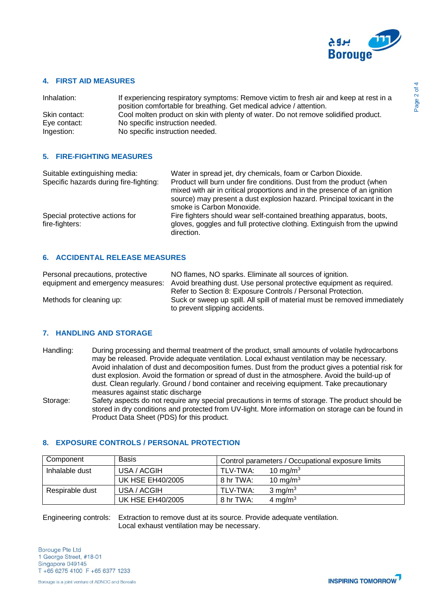

#### **4. FIRST AID MEASURES**

| Inhalation:   | If experiencing respiratory symptoms: Remove victim to fresh air and keep at rest in a<br>position comfortable for breathing. Get medical advice / attention. |
|---------------|---------------------------------------------------------------------------------------------------------------------------------------------------------------|
| Skin contact: | Cool molten product on skin with plenty of water. Do not remove solidified product.                                                                           |
| Eye contact:  | No specific instruction needed.                                                                                                                               |
| Ingestion:    | No specific instruction needed.                                                                                                                               |

#### **5. FIRE-FIGHTING MEASURES**

| Water in spread jet, dry chemicals, foam or Carbon Dioxide.                                                                                                    |
|----------------------------------------------------------------------------------------------------------------------------------------------------------------|
| Product will burn under fire conditions. Dust from the product (when<br>mixed with air in critical proportions and in the presence of an ignition              |
| source) may present a dust explosion hazard. Principal toxicant in the<br>smoke is Carbon Monoxide.                                                            |
| Fire fighters should wear self-contained breathing apparatus, boots,<br>gloves, goggles and full protective clothing. Extinguish from the upwind<br>direction. |
|                                                                                                                                                                |

## **6. ACCIDENTAL RELEASE MEASURES**

| Personal precautions, protective  | NO flames, NO sparks. Eliminate all sources of ignition.                  |
|-----------------------------------|---------------------------------------------------------------------------|
| equipment and emergency measures: | Avoid breathing dust. Use personal protective equipment as required.      |
|                                   | Refer to Section 8: Exposure Controls / Personal Protection.              |
| Methods for cleaning up:          | Suck or sweep up spill. All spill of material must be removed immediately |
|                                   | to prevent slipping accidents.                                            |

#### **7. HANDLING AND STORAGE**

- Handling: During processing and thermal treatment of the product, small amounts of volatile hydrocarbons may be released. Provide adequate ventilation. Local exhaust ventilation may be necessary. Avoid inhalation of dust and decomposition fumes. Dust from the product gives a potential risk for dust explosion. Avoid the formation or spread of dust in the atmosphere. Avoid the build-up of dust. Clean regularly. Ground / bond container and receiving equipment. Take precautionary measures against static discharge
- Storage: Safety aspects do not require any special precautions in terms of storage. The product should be stored in dry conditions and protected from UV-light. More information on storage can be found in Product Data Sheet (PDS) for this product.

#### **8. EXPOSURE CONTROLS / PERSONAL PROTECTION**

| Component       | <b>Basis</b>            |           | Control parameters / Occupational exposure limits |
|-----------------|-------------------------|-----------|---------------------------------------------------|
| Inhalable dust  | USA / ACGIH             | TLV-TWA:  | 10 mg/m $3$                                       |
|                 | <b>UK HSE EH40/2005</b> | 8 hr TWA: | 10 mg/m <sup>3</sup>                              |
| Respirable dust | USA / ACGIH             | TLV-TWA:  | 3 mg/m $3$                                        |
|                 | <b>UK HSE EH40/2005</b> | 8 hr TWA: | 4 mg/m <sup>3</sup>                               |

Engineering controls: Extraction to remove dust at its source. Provide adequate ventilation. Local exhaust ventilation may be necessary.

**Borouge Pte Ltd** 1 George Street, #18-01 Singapore 049145 T +65 6275 4100 F +65 6377 1233

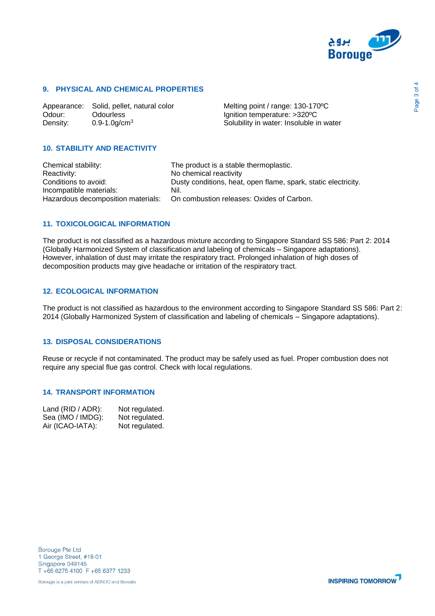

#### **9. PHYSICAL AND CHEMICAL PROPERTIES**

Appearance: Solid, pellet, natural color Melting point / range: 130-170°C Odour: Odourless Ignition temperature: >320°C<br>
Density: 0.9-1.0g/cm<sup>3</sup> Constanting Solubility in water: Insoluble i Density: 0.9-1.0g/cm<sup>3</sup> Solubility in water: Insoluble in water

### **10. STABILITY AND REACTIVITY**

| Chemical stability:     | The product is a stable thermoplastic.                                       |
|-------------------------|------------------------------------------------------------------------------|
| Reactivity:             | No chemical reactivity                                                       |
| Conditions to avoid:    | Dusty conditions, heat, open flame, spark, static electricity.               |
| Incompatible materials: | Nil.                                                                         |
|                         | Hazardous decomposition materials: On combustion releases: Oxides of Carbon. |

#### **11. TOXICOLOGICAL INFORMATION**

The product is not classified as a hazardous mixture according to Singapore Standard SS 586: Part 2: 2014 (Globally Harmonized System of classification and labeling of chemicals – Singapore adaptations). However, inhalation of dust may irritate the respiratory tract. Prolonged inhalation of high doses of decomposition products may give headache or irritation of the respiratory tract.

#### **12. ECOLOGICAL INFORMATION**

The product is not classified as hazardous to the environment according to Singapore Standard SS 586: Part 2: 2014 (Globally Harmonized System of classification and labeling of chemicals – Singapore adaptations).

# **13. DISPOSAL CONSIDERATIONS**

Reuse or recycle if not contaminated. The product may be safely used as fuel. Proper combustion does not require any special flue gas control. Check with local regulations.

#### **14. TRANSPORT INFORMATION**

| Land (RID / ADR): | Not regulated. |
|-------------------|----------------|
| Sea (IMO / IMDG): | Not regulated. |
| Air (ICAO-IATA):  | Not regulated. |